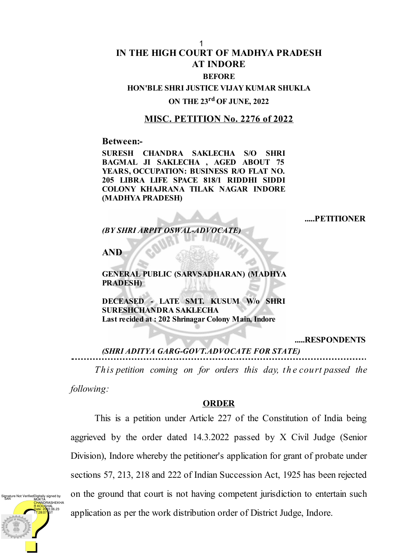#### 1

# **IN THE HIGH COURT OF MADHYA PRADESH AT INDORE**

### **BEFORE**

## **HON'BLE SHRI JUSTICE VIJAY KUMAR SHUKLA**

### **ON THE 23 rd OF JUNE, 2022**

### **MISC. PETITION No. 2276 of 2022**

**Between:-**

**SURESH CHANDRA SAKLECHA S/O SHRI BAGMAL JI SAKLECHA , AGED ABOUT 75 YEARS, OCCUPATION: BUSINESS R/O FLAT NO. 205 LIBRA LIFE SPACE 818/1 RIDDHI SIDDI COLONY KHAJRANA TILAK NAGAR INDORE (MADHYA PRADESH)**

#### **.....PETITIONER**

*(BY SHRI ARPIT OSWAL-ADVOCATE)*

**AND**

### **GENERAL PUBLIC (SARVSADHARAN) (MADHYA PRADESH)**

**DECEASED - LATE SMT. KUSUM W/o SHRI SURESHCHANDRA SAKLECHA Last recided at : 202 Shrinagar Colony Main, Indore**

**.....RESPONDENTS**

*(SHRI ADITYA GARG-GOVT.ADVOCATE FOR STATE)*

*This petition coming on for orders this day, th e court passed the*

*following:*

### **ORDER**

This is a petition under Article 227 of the Constitution of India being aggrieved by the order dated 14.3.2022 passed by X Civil Judge (Senior Division), Indore whereby the petitioner's application for grant of probate under sections 57, 213, 218 and 222 of Indian Succession Act, 1925 has been rejected on the ground that court is not having competent jurisdiction to entertain such application as per the work distribution order of District Judge, Indore.